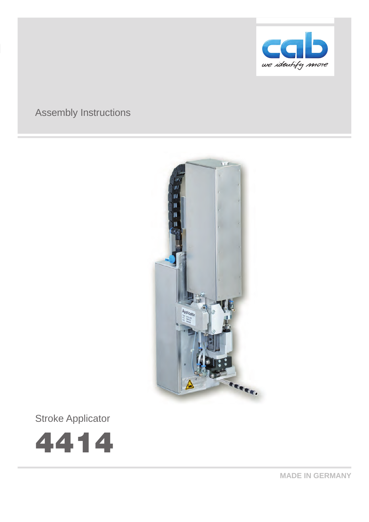

# Assembly Instructions



Stroke Applicator



**MADE IN GERMANY**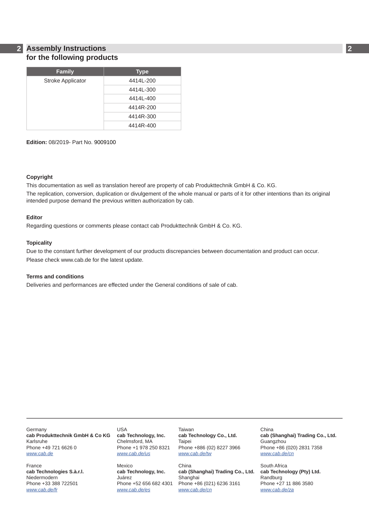### **2 2 Assembly Instructions for the following products**

| <b>Family</b>            | Type      |
|--------------------------|-----------|
| <b>Stroke Applicator</b> | 4414L-200 |
|                          | 4414L-300 |
|                          | 4414L-400 |
|                          | 4414R-200 |
|                          | 4414R-300 |
|                          | 4414R-400 |

**Edition:** 08/2019- Part No. 9009100

### **Copyright**

This documentation as well as translation hereof are property of cab Produkttechnik GmbH & Co. KG. The replication, conversion, duplication or divulgement of the whole manual or parts of it for other intentions than its original intended purpose demand the previous written authorization by cab.

### **Editor**

Regarding questions or comments please contact cab Produkttechnik GmbH & Co. KG.

### **Topicality**

Due to the constant further development of our products discrepancies between documentation and product can occur. Please check www.cab.de for the latest update.

### **Terms and conditions**

Deliveries and performances are effected under the General conditions of sale of cab.

**Germany cab Produkttechnik GmbH & Co KG** Karlsruhe Phone +49 721 6626 0 *[www.cab.de](http://www.cab.de)*

France **cab Technologies S.à.r.l.** Niedermodern Phone +33 388 722501 *[www.cab.de/fr](http://www.cab.de/fr)*

USA **cab Technology, Inc.** Chelmsford, MA Phone +1 978 250 8321 *[www.cab.de/us](http://www.cab.de/us)*

Mexico **cab Technology, Inc.** Juárez Phone +52 656 682 4301 *[www.cab.de/es](http://www.cab.de/es)*

Taiwan **cab Technology Co., Ltd.** Taipei Phone +886 (02) 8227 3966 *[www.cab.de/tw](http://www.cab.de/tw)*

China **cab (Shanghai) Trading Co., Ltd.** Shanghai Phone +86 (021) 6236 3161 *[www.cab.de/cn](http://www.cab.de/cn)*

China **cab (Shanghai) Trading Co., Ltd.** Guangzhou Phone +86 (020) 2831 7358 *[www.cab.de/cn](http://www.cab.de/cn)*

South Africa **cab Technology (Pty) Ltd.** Randburg Phone +27 11 886 3580 *[www.cab.de/za](http://www.cab.de/za)*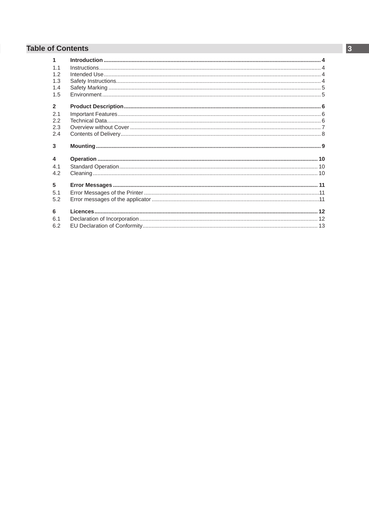## **Table of Contents**

| $\blacktriangleleft$    |  |
|-------------------------|--|
| 1.1                     |  |
| 12                      |  |
| 1.3                     |  |
| 1.4                     |  |
| 1.5                     |  |
| $\overline{2}$          |  |
| 2.1                     |  |
| 2.2                     |  |
| 2.3                     |  |
| 2.4                     |  |
| 3                       |  |
| $\overline{\mathbf{4}}$ |  |
| 4.1                     |  |
| 4.2                     |  |
| 5                       |  |
| 5.1                     |  |
|                         |  |
| 5.2                     |  |
| 6                       |  |
| 6.1                     |  |
| 6.2                     |  |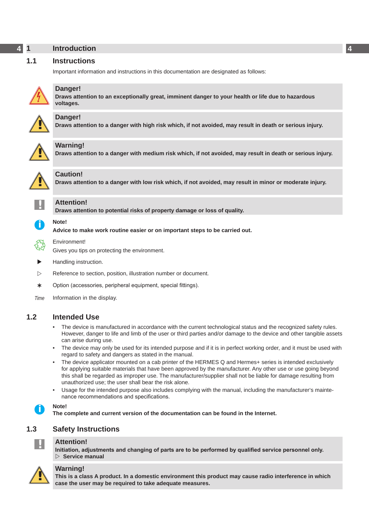## <span id="page-3-0"></span>**4 1 Introduction 4**

### **1.1 Instructions**

<span id="page-3-1"></span>Important information and instructions in this documentation are designated as follows:



**Danger!**

**Draws attention to an exceptionally great, imminent danger to your health or life due to hazardous voltages.**



**! Danger! Draws attention to a danger with high risk which, if not avoided, may result in death or serious injury.**



**Warning!**<br>Draws attention to a danger with medium risk which, if not avoided, may result in death or serious injury.



### **Caution!**

**Draws attention to a danger with low risk which, if not avoided, may result in minor or moderate injury.**



## **! Attention!**

**Draws attention to potential risks of property damage or loss of quality.**

### **i Note!**

**Advice to make work routine easier or on important steps to be carried out.**



Gives you tips on protecting the environment.

Handling instruction.

Environment!

- $\triangleright$  Reference to section, position, illustration number or document.
- \* Option (accessories, peripheral equipment, special fittings).
- *Time* Information in the display.

### **1.2 Intended Use**

- The device is manufactured in accordance with the current technological status and the recognized safety rules. However, danger to life and limb of the user or third parties and/or damage to the device and other tangible assets can arise during use.
- The device may only be used for its intended purpose and if it is in perfect working order, and it must be used with regard to safety and dangers as stated in the manual.
- The device applicator mounted on a cab printer of the HERMES Q and Hermes+ series is intended exclusively for applying suitable materials that have been approved by the manufacturer. Any other use or use going beyond this shall be regarded as improper use. The manufacturer/supplier shall not be liable for damage resulting from unauthorized use; the user shall bear the risk alone.
- Usage for the intended purpose also includes complying with the manual, including the manufacturer's maintenance recommendations and specifications.



**i Note! The complete and current version of the documentation can be found in the Internet.**

## **1.3 Safety Instructions**



### **! Attention!**

**Initiation, adjustments and changing of parts are to be performed by qualified service personnel only. Service manual**



**Warning!**<br>
This is a class A product. In a domestic environment this product may cause radio interference in which <br>
Case the user may be required to take adoptate maasures **case the user may be required to take adequate measures.**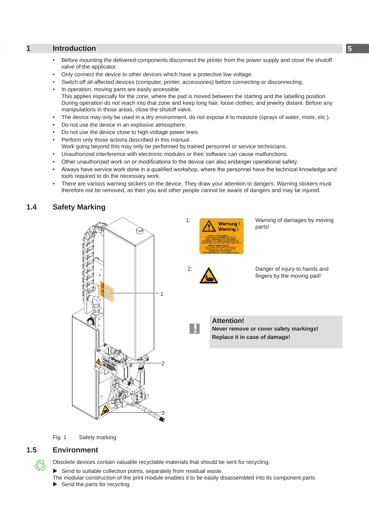### <span id="page-4-0"></span>**4 5 1 [Introduction](#page-3-1)**

- Before mounting the delivered components disconnect the printer from the power supply and close the shutoff valve of the applicator.
- Only connect the device to other devices which have a protective low voltage.
- Switch off all affected devices (computer, printer, accessories) before connecting or disconnecting.
- In operation, moving parts are easily accessible. This applies especially for the zone, where the pad is moved between the starting and the labelling position. During operation do not reach into that zone and keep long hair, loose clothes, and jewelry distant. Before any manipulations in those areas, close the shutoff valve.
- The device may only be used in a dry environment, do not expose it to moisture (sprays of water, mists, etc.).
- Do not use the device in an explosive atmosphere.
- Do not use the device close to high-voltage power lines.
- Perform only those actions described in this manual.
- Work going beyond this may only be performed by trained personnel or service technicians.
- Unauthorized interference with electronic modules or their software can cause malfunctions.
- Other unauthorized work on or modifications to the device can also endanger operational safety.
- Always have service work done in a qualified workshop, where the personnel have the technical knowledge and tools required to do the necessary work.
- There are various warning stickers on the device. They draw your attention to dangers. Warning stickers must therefore not be removed, as then you and other people cannot be aware of dangers and may be injured.

### **1.4 Safety Marking**



1: Marnung 1 Warning of damages by moving parts! **Warning** 



2: **A** Danger of injury to hands and fingers by the moving pad!

**!**

**Attention! Never remove or cover safety markings! Replace it in case of damage!**

Fig. 1 Safety marking

### **1.5 Environment**



Obsolete devices contain valuable recyclable materials that should be sent for recycling.

 $\blacktriangleright$  Send to suitable collection points, separately from residual waste.

The modular construction of the print module enables it to be easily disassembled into its component parts.  $\blacktriangleright$  Send the parts for recycling.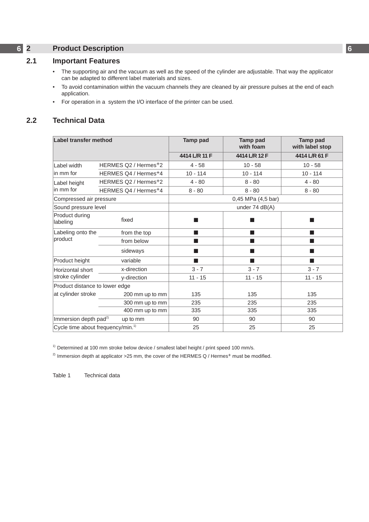# <span id="page-5-0"></span>**6 2 Product Description 6**

### **2.1 Important Features**

- <span id="page-5-1"></span>• The supporting air and the vacuum as well as the speed of the cylinder are adjustable. That way the applicator can be adapted to different label materials and sizes.
- To avoid contamination within the vacuum channels they are cleaned by air pressure pulses at the end of each application.
- For operation in a system the I/O interface of the printer can be used.

## **2.2 Technical Data**

| <b>Label transfer method</b>                  |                                  | <b>Tamp pad</b>    | <b>Tamp pad</b><br>with foam | <b>Tamp pad</b><br>with label stop |  |
|-----------------------------------------------|----------------------------------|--------------------|------------------------------|------------------------------------|--|
|                                               |                                  | 4414 L/R 11 F      | 4414 L/R 12 F                | 4414 L/R 61 F                      |  |
| Label width                                   | HERMES Q2 / Hermes+2             | $4 - 58$           | $10 - 58$                    | $10 - 58$                          |  |
| in mm for                                     | HERMES Q4 / Hermes <sup>+4</sup> | $10 - 114$         | $10 - 114$                   | $10 - 114$                         |  |
| Label height                                  | HERMES Q2 / Hermes+2             | $4 - 80$           | $8 - 80$                     | $4 - 80$                           |  |
| in mm for                                     | HERMES Q4 / Hermes+4             | $8 - 80$           | $8 - 80$                     | $8 - 80$                           |  |
| Compressed air pressure                       |                                  | 0,45 MPa (4,5 bar) |                              |                                    |  |
|                                               | Sound pressure level             |                    | under $74$ dB(A)             |                                    |  |
| Product during<br>labeling                    | fixed                            |                    |                              |                                    |  |
| Labeling onto the                             | from the top                     | <b>The State</b>   |                              |                                    |  |
| product                                       | from below                       | <b>The State</b>   | <b>The State</b>             | <b>The State</b>                   |  |
|                                               | sideways                         |                    | ٠                            |                                    |  |
| Product height                                | variable                         | <b>The State</b>   | <b>College</b>               |                                    |  |
| Horizontal short                              | x-direction                      | $3 - 7$            | $3 - 7$                      | $3 - 7$                            |  |
| stroke cylinder                               | y-direction                      | $11 - 15$          | $11 - 15$                    | $11 - 15$                          |  |
| Product distance to lower edge                |                                  |                    |                              |                                    |  |
| at cylinder stroke                            | 200 mm up to mm                  | 135                | 135                          | 135                                |  |
|                                               | 300 mm up to mm                  | 235                | 235                          | 235                                |  |
|                                               | 400 mm up to mm                  | 335                | 335                          | 335                                |  |
| Immersion depth pad <sup>2)</sup>             | up to mm                         | 90                 | 90                           | 90                                 |  |
| Cycle time about frequency/min. <sup>1)</sup> |                                  | 25                 | 25                           | 25                                 |  |

 $1)$  Determined at 100 mm stroke below device / smallest label height / print speed 100 mm/s.

<sup>2)</sup> Immersion depth at applicator > 25 mm, the cover of the HERMES Q / Hermes<sup>+</sup> must be modified.

Table 1 Technical data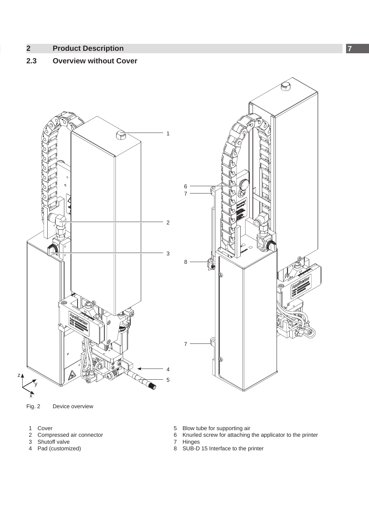### <span id="page-6-0"></span>**6 7 2 [Product Description](#page-5-1)**

## **2.3 Overview without Cover**



Fig. 2 Device overview

- 1 Cover
- 2 Compressed air connector<br>3 Shutoff valve
- 3 Shutoff valve<br>4 Pad (customi
- Pad (customized)
- 5 Blow tube for supporting air
- 6 Knurled screw for attaching the applicator to the printer
- 7 Hinges
- 8 SUB-D 15 Interface to the printer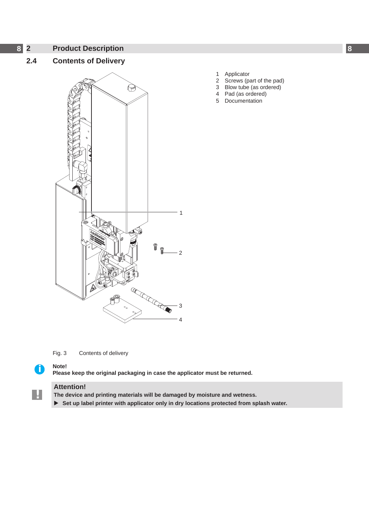- <span id="page-7-0"></span>**8 8 2 [Product Description](#page-5-1)**
	- **2.4 Contents of Delivery**



Fig. 3 Contents of delivery

**!**

**i Note! Please keep the original packaging in case the applicator must be returned.**

### **Attention!**

**The device and printing materials will be damaged by moisture and wetness.**

▶ Set up label printer with applicator only in dry locations protected from splash water.

- 1 Applicator<br>2 Screws (pa
- 2 Screws (part of the pad)<br>3 Blow tube (as ordered)
- 3 Blow tube (as ordered)<br>4 Pad (as ordered)
- 4 Pad (as ordered) **Documentation**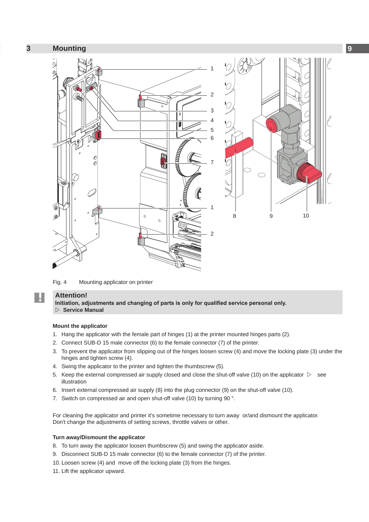<span id="page-8-0"></span>

Fig. 4 Mounting applicator on printer

## **! Attention!**

**Initiation, adjustments and changing of parts is only for qualified service personal only. Service Manual**

### **Mount the applicator**

- 1. Hang the applicator with the female part of hinges (1) at the printer mounted hinges parts (2).
- 2. Connect SUB-D 15 male connector (6) to the female connector (7) of the printer.
- 3. To prevent the applicator from slipping out of the hinges loosen screw (4) and move the locking plate (3) under the hinges and tighten screw (4).
- 4. Swing the applicator to the printer and tighten the thumbscrew (5).
- 5. Keep the external compressed air supply closed and close the shut-off valve (10) on the applicator  $\triangleright$  see illustration
- 6. Insert external compressed air supply (8) into the plug connector (9) on the shut-off valve (10).
- 7. Switch on compressed air and open shut-off valve (10) by turning 90 °.

For cleaning the applicator and printer it's sometime necessary to turn away or/and dismount the applicator. Don't change the adjustments of setting screws, throttle valves or other.

### **Turn away/Dismount the applicator**

- 8. To turn away the applicator loosen thumbscrew (5) and swing the applicator aside.
- 9. Disconnect SUB-D 15 male connector (6) to the female connector (7) of the printer.
- 10. Loosen screw (4) and move off the locking plate (3) from the hinges.
- 11. Lift the applicator upward.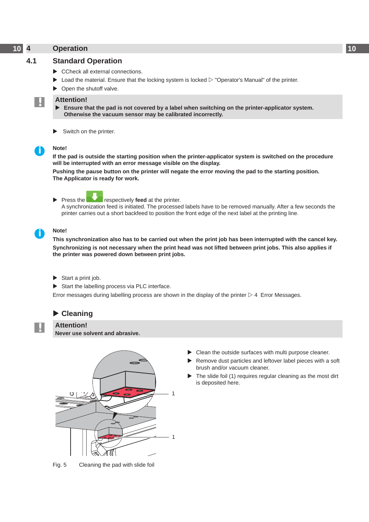## <span id="page-9-0"></span>**10 4 Operation 10**

## **4.1 Standard Operation**

- $\triangleright$  CCheck all external connections.
- $\triangleright$  Load the material. Ensure that the locking system is locked  $\triangleright$  "Operator's Manual" of the printer.
- $\triangleright$  Open the shutoff valve.

### **! Attention!**

- Ensure that the pad is not covered by a label when switching on the printer-applicator system. **Otherwise the vacuum sensor may be calibrated incorrectly.**
- $\blacktriangleright$  Switch on the printer.

### **i Note!**

**If the pad is outside the starting position when the printer-applicator system is switched on the procedure will be interrupted with an error message visible on the display.**

**Pushing the pause button on the printer will negate the error moving the pad to the starting position. The Applicator is ready for work.**



**Press the respectively feed at the printer.** 

A synchronization feed is initiated. The processed labels have to be removed manually. After a few seconds the printer carries out a short backfeed to position the front edge of the next label at the printing line.

### **i Note!**

**This synchronization also has to be carried out when the print job has been interrupted with the cancel key. Synchronizing is not necessary when the print head was not lifted between print jobs. This also applies if the printer was powered down between print jobs.**

- $\blacktriangleright$  Start a print job.
- $\triangleright$  Start the labelling process via PLC interface.

Error messages during labelling process are shown in the display of the printer  $\triangleright$  4 Error Messages.

### **Examing**

**! Attention! Never use solvent and abrasive.**



Fig. 5 Cleaning the pad with slide foil

- $\blacktriangleright$  Clean the outside surfaces with multi purpose cleaner.
- Remove dust particles and leftover label pieces with a soft brush and/or vacuum cleaner.
- The slide foil (1) requires regular cleaning as the most dirt is deposited here.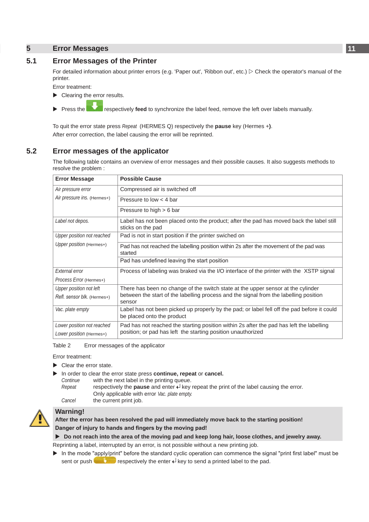## <span id="page-10-0"></span>**10 11 5 Error Messages**

### **5.1 Error Messages of the Printer**

For detailed information about printer errors (e.g. 'Paper out', 'Ribbon out', etc.)  $\triangleright$  Check the operator's manual of the printer.

Error treatment:

- Clearing the error results.
- **Press the state of respectively feed to synchronize the label feed, remove the left over labels manually.**

To quit the error state press *Repeat* (HERMES Q) respectively the **pause** key (Hermes +**)**. After error correction, the label causing the error will be reprinted.

### **5.2 Error messages of the applicator**

The following table contains an overview of error messages and their possible causes. It also suggests methods to resolve the problem :

| <b>Error Message</b>        | <b>Possible Cause</b>                                                                                                                                    |  |
|-----------------------------|----------------------------------------------------------------------------------------------------------------------------------------------------------|--|
| Air pressure error          | Compressed air is switched off                                                                                                                           |  |
| Air pressure ins. (Hermes+) | Pressure to low $<$ 4 bar                                                                                                                                |  |
|                             | Pressure to high $> 6$ bar                                                                                                                               |  |
| Label not depos.            | Label has not been placed onto the product; after the pad has moved back the label still<br>sticks on the pad                                            |  |
| Upper position not reached  | Pad is not in start position if the printer swiched on                                                                                                   |  |
| Upper position (Hermes+)    | Pad has not reached the labelling position within 2s after the movement of the pad was<br>started                                                        |  |
|                             | Pad has undefined leaving the start position                                                                                                             |  |
| External error              | Process of labeling was braked via the I/O interface of the printer with the XSTP signal                                                                 |  |
| Process Error (Hermes+)     |                                                                                                                                                          |  |
| Upper position not left     | There has been no change of the switch state at the upper sensor at the cylinder                                                                         |  |
| Refl. sensor blk. (Hermes+) | between the start of the labelling process and the signal from the labelling position<br>sensor                                                          |  |
| Vac. plate empty            | Label has not been picked up properly by the pad; or label fell off the pad before it could<br>be placed onto the product                                |  |
| Lower position not reached  | Pad has not reached the starting position within 2s after the pad has left the labelling<br>position; or pad has left the starting position unauthorized |  |
| Lower position (Hermes+)    |                                                                                                                                                          |  |

Table 2 Error messages of the applicator

Error treatment:

- $\blacktriangleright$  Clear the error state.
- In order to clear the error state press **continue, repeat** or **cancel.** 
	- *Continue* with the next label in the printing queue.
- *Repeat* respectively the **pause** and enter  $\leftarrow$  key repeat the print of the label causing the error. Only applicable with error *Vac. plate empty. Cancel* the current print job.



**Warning!**<br>After the error has been resolved the pad will immediately move back to the starting position! **Danger of injury to hands and fingers by the moving pad!** 

### ▶ Do not reach into the area of the moving pad and keep long hair, loose clothes, and jewelry away.

Reprinting a label, interrupted by an error, is not possible without a new printing job.

 $\triangleright$  In the mode "apply/print" before the standard cyclic operation can commence the signal "print first label" must be sent or push respectively the enter  $\leftrightarrow$  key to send a printed label to the pad.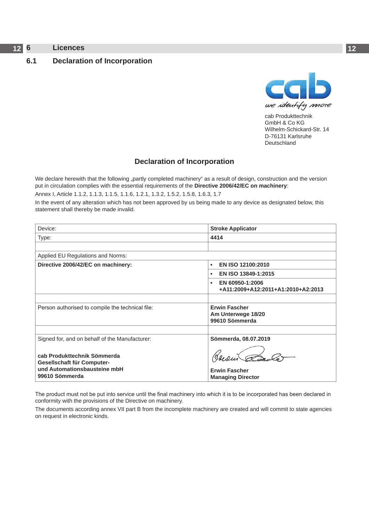## <span id="page-11-0"></span>**12 6 Licences 12**

### <span id="page-11-1"></span>**6.1 Declaration of Incorporation**



cab Produkttechnik GmbH & Co KG Wilhelm-Schickard-Str. 14 D-76131 Karlsruhe Deutschland

### **Declaration of Incorporation**

We declare herewith that the following "partly completed machinery" as a result of design, construction and the version put in circulation complies with the essential requirements of the **Directive 2006/42/EC on machinery**:

Annex I, Article 1.1.2, 1.1.3, 1.1.5, 1.1.6, 1.2.1, 1.3.2, 1.5.2, 1.5.8, 1.6.3, 1.7

In the event of any alteration which has not been approved by us being made to any device as designated below, this statement shall thereby be made invalid.

| Device:                                                                                                     | <b>Stroke Applicator</b>                                           |  |  |  |
|-------------------------------------------------------------------------------------------------------------|--------------------------------------------------------------------|--|--|--|
| Type:                                                                                                       | 4414                                                               |  |  |  |
|                                                                                                             |                                                                    |  |  |  |
| Applied EU Regulations and Norms:                                                                           |                                                                    |  |  |  |
| Directive 2006/42/EC on machinery:                                                                          | EN ISO 12100:2010<br>٠                                             |  |  |  |
|                                                                                                             | EN ISO 13849-1:2015<br>$\bullet$                                   |  |  |  |
|                                                                                                             | EN 60950-1:2006<br>$\bullet$<br>+A11:2009+A12:2011+A1:2010+A2:2013 |  |  |  |
|                                                                                                             |                                                                    |  |  |  |
| Person authorised to compile the technical file:                                                            | <b>Erwin Fascher</b><br>Am Unterwege 18/20<br>99610 Sömmerda       |  |  |  |
|                                                                                                             |                                                                    |  |  |  |
| Signed for, and on behalf of the Manufacturer:<br>cab Produkttechnik Sömmerda<br>Gesellschaft für Computer- | Sömmerda, 08.07.2019                                               |  |  |  |
| und Automationsbausteine mbH<br>99610 Sömmerda                                                              | <b>Erwin Fascher</b><br><b>Managing Director</b>                   |  |  |  |

The product must not be put into service until the final machinery into which it is to be incorporated has been declared in conformity with the provisions of the Directive on machinery.

The documents according annex VII part B from the incomplete machinery are created and will commit to state agencies on request in electronic kinds.